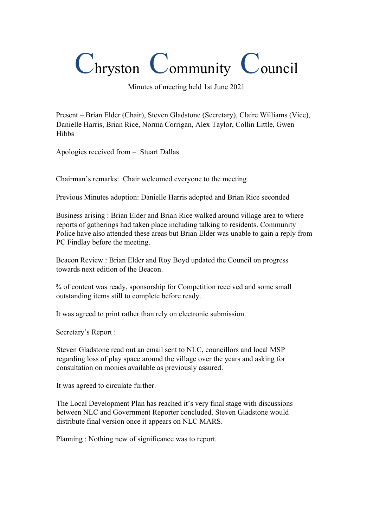## Chryston Community Council

Minutes of meeting held 1st June 2021

Present – Brian Elder (Chair), Steven Gladstone (Secretary), Claire Williams (Vice), Danielle Harris, Brian Rice, Norma Corrigan, Alex Taylor, Collin Little, Gwen Hibbs

Apologies received from – Stuart Dallas

Chairman's remarks: Chair welcomed everyone to the meeting

Previous Minutes adoption: Danielle Harris adopted and Brian Rice seconded

Business arising : Brian Elder and Brian Rice walked around village area to where reports of gatherings had taken place including talking to residents. Community Police have also attended these areas but Brian Elder was unable to gain a reply from PC Findlay before the meeting.

Beacon Review : Brian Elder and Roy Boyd updated the Council on progress towards next edition of the Beacon.

¾ of content was ready, sponsorship for Competition received and some small outstanding items still to complete before ready.

It was agreed to print rather than rely on electronic submission.

Secretary's Report :

Steven Gladstone read out an email sent to NLC, councillors and local MSP regarding loss of play space around the village over the years and asking for consultation on monies available as previously assured.

It was agreed to circulate further.

The Local Development Plan has reached it's very final stage with discussions between NLC and Government Reporter concluded. Steven Gladstone would distribute final version once it appears on NLC MARS.

Planning : Nothing new of significance was to report.